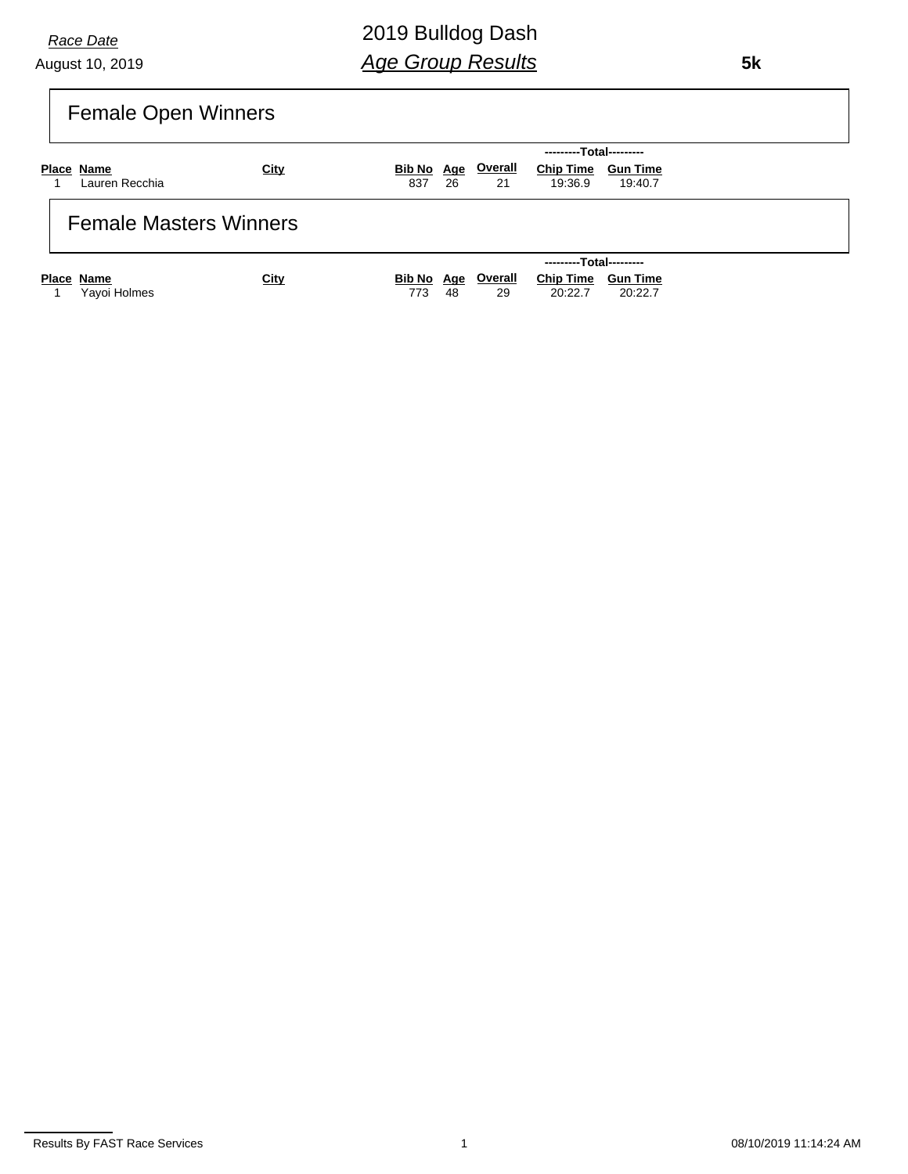August 10, 2019 *Race Date*

2019 Bulldog Dash *Age Group Results*

 **5k**

| <b>Female Open Winners</b> |
|----------------------------|
|                            |

|                               |      |                   |      |                      | ---------Total---------       |         |  |
|-------------------------------|------|-------------------|------|----------------------|-------------------------------|---------|--|
| Place Name<br>Lauren Recchia  | City | Bib No Age<br>837 | - 26 | <b>Overall</b><br>21 | Chip Time Gun Time<br>19:36.9 | 19:40.7 |  |
| <b>Female Masters Winners</b> |      |                   |      |                      |                               |         |  |

|              |             |     |    |    | ---------Total---------               |         |
|--------------|-------------|-----|----|----|---------------------------------------|---------|
| Place Name   | <u>City</u> |     |    |    | Bib No Age Overall Chip Time Gun Time |         |
| Yayoi Holmes |             | 773 | 48 | 29 | 20:22.7                               | 20:22.7 |

Results By FAST Race Services **1** 08/10/2019 11:14:24 AM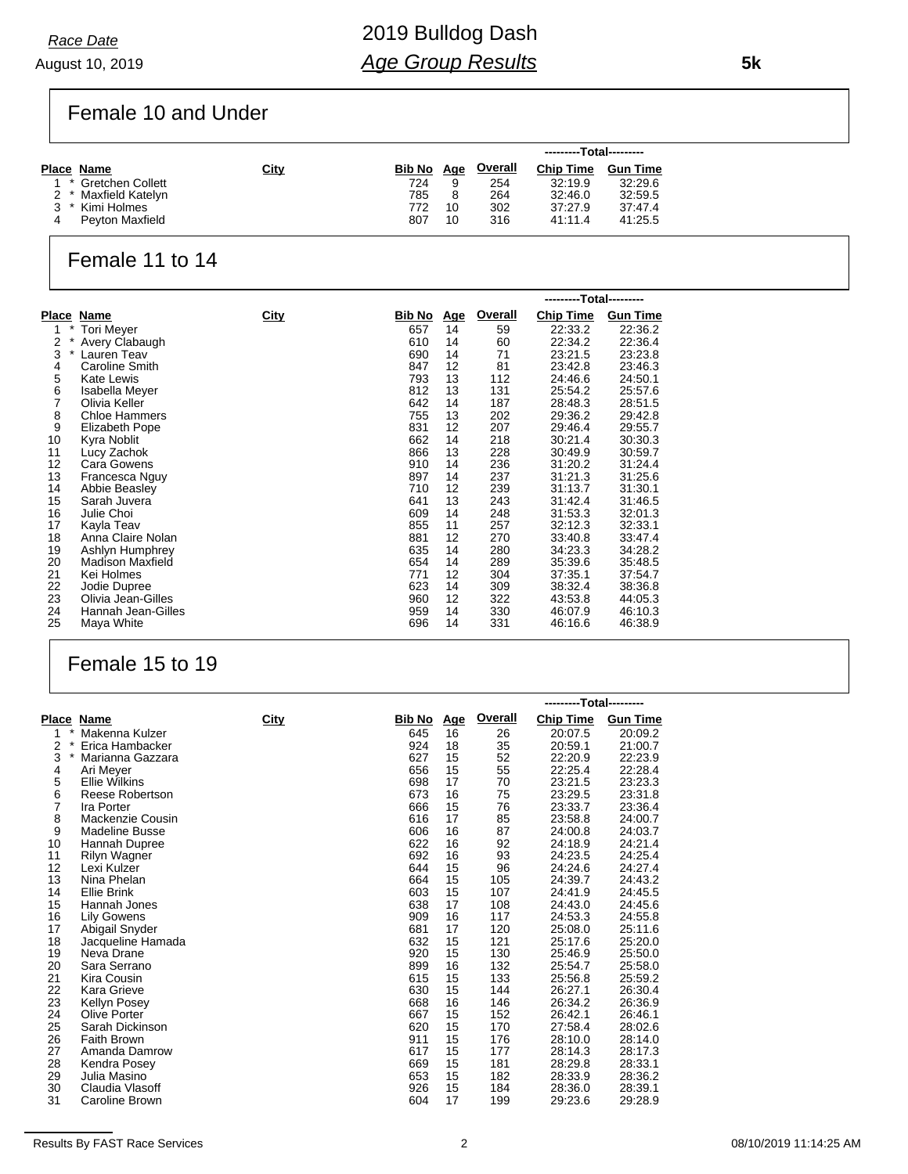August 10, 2019 *Race Date*

Female 10 and Under

|                      |      |            |    |         | ---------Total--------- |                 |
|----------------------|------|------------|----|---------|-------------------------|-----------------|
| Place Name           | City | Bib No Age |    | Overall | <b>Chip Time</b>        | <b>Gun Time</b> |
| * Gretchen Collett   |      | 724        | 9  | 254     | 32:19.9                 | 32:29.6         |
| 2 * Maxfield Katelyn |      | 785        | 8  | 264     | 32:46.0                 | 32:59.5         |
| * Kimi Holmes        |      | 772        | 10 | 302     | 37:27.9                 | 37:47.4         |
| Peyton Maxfield      |      | 807        | 10 | 316     | 41:11.4                 | 41:25.5         |

### Female 11 to 14

|               |                      |             |               |            |                | ---------Total--------- |                 |
|---------------|----------------------|-------------|---------------|------------|----------------|-------------------------|-----------------|
|               | Place Name           | <u>City</u> | <u>Bib No</u> | <u>Age</u> | <b>Overall</b> | <b>Chip Time</b>        | <b>Gun Time</b> |
| $\ast$<br>1   | Tori Meyer           |             | 657           | 14         | 59             | 22:33.2                 | 22:36.2         |
| $^\star$<br>2 | Avery Clabaugh       |             | 610           | 14         | 60             | 22:34.2                 | 22:36.4         |
| 3<br>$^\star$ | Lauren Teav          |             | 690           | 14         | 71             | 23:21.5                 | 23:23.8         |
| 4             | Caroline Smith       |             | 847           | 12         | 81             | 23:42.8                 | 23:46.3         |
| 5             | Kate Lewis           |             | 793           | 13         | 112            | 24:46.6                 | 24:50.1         |
| 6             | Isabella Meyer       |             | 812           | 13         | 131            | 25:54.2                 | 25:57.6         |
| 7             | Olivia Keller        |             | 642           | 14         | 187            | 28:48.3                 | 28:51.5         |
| 8             | <b>Chloe Hammers</b> |             | 755           | 13         | 202            | 29:36.2                 | 29:42.8         |
| 9             | Elizabeth Pope       |             | 831           | 12         | 207            | 29:46.4                 | 29:55.7         |
| 10            | Kyra Noblit          |             | 662           | 14         | 218            | 30:21.4                 | 30:30.3         |
| 11            | Lucy Zachok          |             | 866           | 13         | 228            | 30:49.9                 | 30:59.7         |
| 12            | Cara Gowens          |             | 910           | 14         | 236            | 31:20.2                 | 31:24.4         |
| 13            | Francesca Nguy       |             | 897           | 14         | 237            | 31:21.3                 | 31:25.6         |
| 14            | Abbie Beasley        |             | 710           | 12         | 239            | 31:13.7                 | 31:30.1         |
| 15            | Sarah Juvera         |             | 641           | 13         | 243            | 31:42.4                 | 31:46.5         |
| 16            | Julie Choi           |             | 609           | 14         | 248            | 31:53.3                 | 32:01.3         |
| 17            | Kayla Teav           |             | 855           | 11         | 257            | 32:12.3                 | 32:33.1         |
| 18            | Anna Claire Nolan    |             | 881           | 12         | 270            | 33:40.8                 | 33:47.4         |
| 19            | Ashlyn Humphrey      |             | 635           | 14         | 280            | 34:23.3                 | 34:28.2         |
| 20            | Madison Maxfield     |             | 654           | 14         | 289            | 35:39.6                 | 35:48.5         |
| 21            | Kei Holmes           |             | 771           | 12         | 304            | 37:35.1                 | 37:54.7         |
| 22            | Jodie Dupree         |             | 623           | 14         | 309            | 38:32.4                 | 38:36.8         |
| 23            | Olivia Jean-Gilles   |             | 960           | 12         | 322            | 43:53.8                 | 44:05.3         |
| 24            | Hannah Jean-Gilles   |             | 959           | 14         | 330            | 46:07.9                 | 46:10.3         |
| 25            | Maya White           |             | 696           | 14         | 331            | 46:16.6                 | 46:38.9         |

### Female 15 to 19

|                              |                                |      |            |            |                | ---------Total--------- |                    |
|------------------------------|--------------------------------|------|------------|------------|----------------|-------------------------|--------------------|
|                              | Place Name                     | City | Bib No     | <u>Age</u> | <b>Overall</b> | <b>Chip Time</b>        | <b>Gun Time</b>    |
| 1                            | Makenna Kulzer                 |      | 645        | 16         | 26             | 20:07.5                 | 20:09.2            |
| $\overline{2}$<br>$^{\star}$ | Erica Hambacker                |      | 924        | 18         | 35             | 20:59.1                 | 21:00.7            |
| 3<br>$\star$                 | Marianna Gazzara               |      | 627        | 15         | 52             | 22:20.9                 | 22:23.9            |
| 4                            | Ari Meyer                      |      | 656        | 15         | 55             | 22:25.4                 | 22:28.4            |
| 5                            | <b>Ellie Wilkins</b>           |      | 698        | 17         | 70             | 23:21.5                 | 23:23.3            |
| 6                            | Reese Robertson                |      | 673        | 16         | 75             | 23:29.5                 | 23:31.8            |
| 7                            | Ira Porter                     |      | 666        | 15         | 76             | 23:33.7                 | 23:36.4            |
| 8                            | Mackenzie Cousin               |      | 616        | 17         | 85             | 23:58.8                 | 24:00.7            |
| 9                            | <b>Madeline Busse</b>          |      | 606        | 16         | 87             | 24:00.8                 | 24:03.7            |
| 10                           | Hannah Dupree                  |      | 622        | 16         | 92             | 24:18.9                 | 24:21.4            |
| 11                           | <b>Rilyn Wagner</b>            |      | 692        | 16         | 93             | 24:23.5                 | 24:25.4            |
| 12                           | Lexi Kulzer                    |      | 644        | 15         | 96             | 24:24.6                 | 24:27.4            |
| 13                           | Nina Phelan                    |      | 664        | 15         | 105            | 24:39.7                 | 24:43.2            |
| 14                           | Ellie Brink                    |      | 603        | 15         | 107            | 24:41.9                 | 24:45.5            |
| 15                           | Hannah Jones                   |      | 638        | 17         | 108            | 24:43.0                 | 24:45.6            |
| 16                           | <b>Lily Gowens</b>             |      | 909        | 16         | 117            | 24:53.3                 | 24:55.8            |
| 17                           | Abigail Snyder                 |      | 681        | 17         | 120            | 25:08.0                 | 25:11.6            |
| 18                           | Jacqueline Hamada              |      | 632        | 15         | 121            | 25:17.6                 | 25:20.0            |
| 19                           | Neva Drane                     |      | 920        | 15         | 130            | 25:46.9                 | 25:50.0            |
| 20                           | Sara Serrano                   |      | 899        | 16         | 132            | 25:54.7                 | 25:58.0            |
| 21                           | Kira Cousin                    |      | 615        | 15         | 133            | 25:56.8                 | 25:59.2            |
| 22                           | Kara Grieve                    |      | 630        | 15         | 144            | 26:27.1                 | 26:30.4            |
| 23                           | <b>Kellyn Posey</b>            |      | 668        | 16         | 146            | 26:34.2                 | 26:36.9            |
| 24                           | Olive Porter                   |      | 667        | 15         | 152            | 26:42.1                 | 26:46.1            |
| 25                           | Sarah Dickinson<br>Faith Brown |      | 620<br>911 | 15<br>15   | 170            | 27:58.4                 | 28:02.6            |
| 26<br>27                     |                                |      | 617        |            | 176<br>177     | 28:10.0                 | 28:14.0            |
|                              | Amanda Damrow                  |      | 669        | 15<br>15   | 181            | 28:14.3                 | 28:17.3            |
| 28<br>29                     | Kendra Posey<br>Julia Masino   |      | 653        | 15         | 182            | 28:29.8<br>28:33.9      | 28:33.1<br>28:36.2 |
| 30                           | Claudia Vlasoff                |      | 926        | 15         | 184            | 28:36.0                 | 28:39.1            |
| 31                           | Caroline Brown                 |      | 604        | 17         | 199            | 29:23.6                 | 29:28.9            |
|                              |                                |      |            |            |                |                         |                    |

 **5k**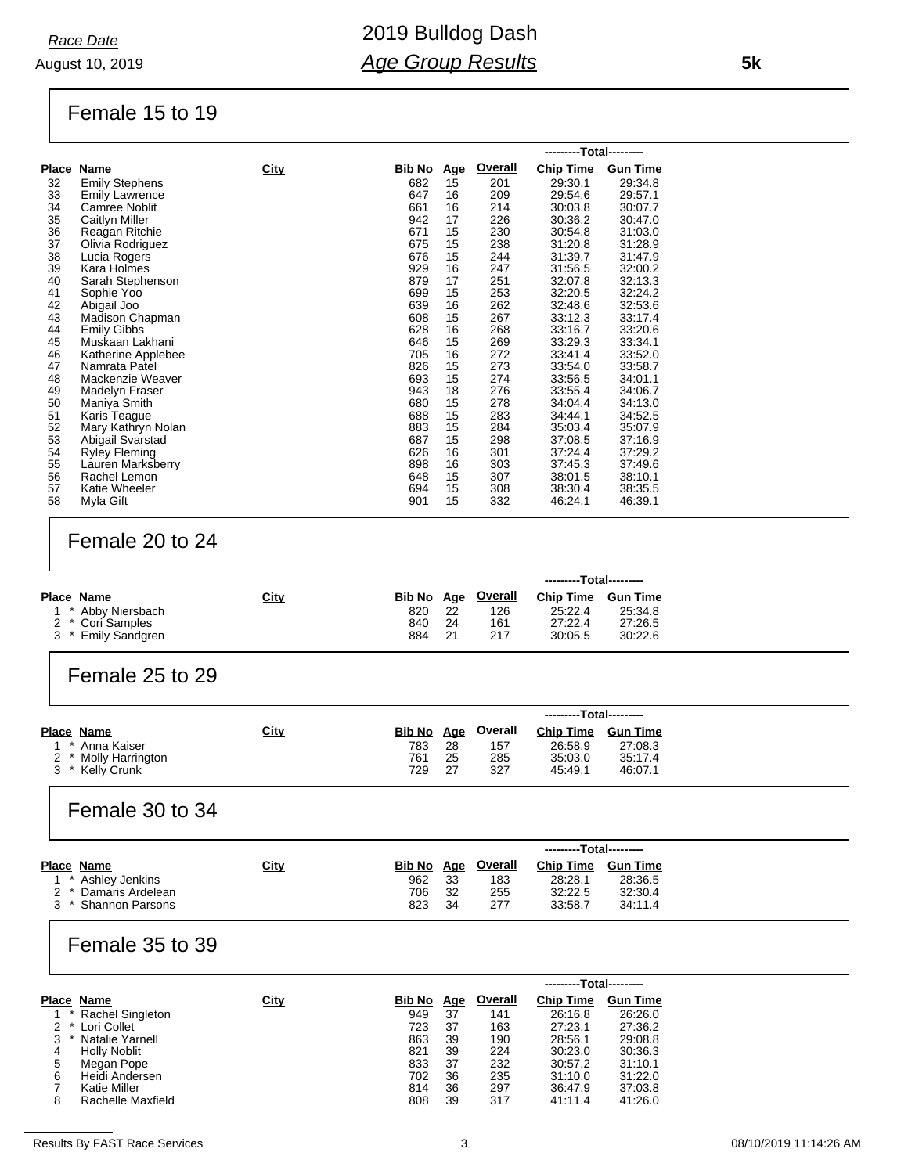#### Female 15 to 19

|    |                       |      |               |            |                | ---------Total--------- |                 |
|----|-----------------------|------|---------------|------------|----------------|-------------------------|-----------------|
|    | Place Name            | City | <u>Bib No</u> | <u>Age</u> | <b>Overall</b> | <b>Chip Time</b>        | <b>Gun Time</b> |
| 32 | <b>Emily Stephens</b> |      | 682           | 15         | 201            | 29:30.1                 | 29:34.8         |
| 33 | <b>Emily Lawrence</b> |      | 647           | 16         | 209            | 29:54.6                 | 29.57.1         |
| 34 | Camree Noblit         |      | 661           | 16         | 214            | 30:03.8                 | 30:07.7         |
| 35 | Caitlyn Miller        |      | 942           | 17         | 226            | 30:36.2                 | 30:47.0         |
| 36 | Reagan Ritchie        |      | 671           | 15         | 230            | 30:54.8                 | 31:03.0         |
| 37 | Olivia Rodriguez      |      | 675           | 15         | 238            | 31:20.8                 | 31:28.9         |
| 38 | Lucia Rogers          |      | 676           | 15         | 244            | 31:39.7                 | 31:47.9         |
| 39 | Kara Holmes           |      | 929           | 16         | 247            | 31:56.5                 | 32:00.2         |
| 40 | Sarah Stephenson      |      | 879           | 17         | 251            | 32:07.8                 | 32:13.3         |
| 41 | Sophie Yoo            |      | 699           | 15         | 253            | 32:20.5                 | 32:24.2         |
| 42 | Abigail Joo           |      | 639           | 16         | 262            | 32:48.6                 | 32:53.6         |
| 43 | Madison Chapman       |      | 608           | 15         | 267            | 33:12.3                 | 33:17.4         |
| 44 | <b>Emily Gibbs</b>    |      | 628           | 16         | 268            | 33:16.7                 | 33:20.6         |
| 45 | Muskaan Lakhani       |      | 646           | 15         | 269            | 33:29.3                 | 33:34.1         |
| 46 | Katherine Applebee    |      | 705           | 16         | 272            | 33:41.4                 | 33:52.0         |
| 47 | Namrata Patel         |      | 826           | 15         | 273            | 33:54.0                 | 33:58.7         |
| 48 | Mackenzie Weaver      |      | 693           | 15         | 274            | 33:56.5                 | 34:01.1         |
| 49 | Madelyn Fraser        |      | 943           | 18         | 276            | 33:55.4                 | 34:06.7         |
| 50 | Maniya Smith          |      | 680           | 15         | 278            | 34:04.4                 | 34:13.0         |
| 51 | Karis Teague          |      | 688           | 15         | 283            | 34:44.1                 | 34:52.5         |
| 52 | Mary Kathryn Nolan    |      | 883           | 15         | 284            | 35:03.4                 | 35:07.9         |
| 53 | Abigail Svarstad      |      | 687           | 15         | 298            | 37:08.5                 | 37:16.9         |
| 54 | Ryley Fleming         |      | 626           | 16         | 301            | 37:24.4                 | 37:29.2         |
| 55 | Lauren Marksberry     |      | 898           | 16         | 303            | 37:45.3                 | 37:49.6         |
| 56 | Rachel Lemon          |      | 648           | 15         | 307            | 38:01.5                 | 38:10.1         |
| 57 | <b>Katie Wheeler</b>  |      | 694           | 15         | 308            | 38:30.4                 | 38:35.5         |
| 58 | Myla Gift             |      | 901           | 15         | 332            | 46:24.1                 | 46:39.1         |

#### Female 20 to 24

|                    |             |            |     |         | ---------Total--------- |          |
|--------------------|-------------|------------|-----|---------|-------------------------|----------|
| Place Name         | <u>City</u> | Bib No Age |     | Overall | <b>Chip Time</b>        | Gun Time |
| 1 * Abby Niersbach |             | 820        | 22  | 126     | 25:22.4                 | 25:34.8  |
| 2 * Cori Samples   |             | 840        | 24  | 161     | 27:22.4                 | 27:26.5  |
| 3 * Emily Sandgren |             | 884        | -21 | 217     | 30:05.5                 | 30:22.6  |

### Female 25 to 29

|                            |      |            |    |                | ---------Total--------- |                 |  |
|----------------------------|------|------------|----|----------------|-------------------------|-----------------|--|
| Place Name                 | City | Bib No Age |    | <u>Overall</u> | <b>Chip Time</b>        | <b>Gun Time</b> |  |
| 1 * Anna Kaiser            |      | 783.       | 28 | 157            | 26:58.9                 | 27:08.3         |  |
| 2 * Molly Harrington       |      | 761        | 25 | 285            | 35:03.0                 | 35:17.4         |  |
| 3 <sup>*</sup> Kelly Crunk |      | 729        | 27 | 327            | 45:49.1                 | 46:07.1         |  |

#### Female 30 to 34

|                      |      |     |     |                    | ---------Total--------- |                 |  |
|----------------------|------|-----|-----|--------------------|-------------------------|-----------------|--|
| Place Name           | City |     |     | Bib No Age Overall | <b>Chip Time</b>        | <b>Gun Time</b> |  |
| 1 * Ashley Jenkins   |      | 962 | 33  | 183                | 28.28.1                 | 28:36.5         |  |
| 2 * Damaris Ardelean |      | 706 | -32 | 255                | 32:22.5                 | 32:30.4         |  |
| 3 * Shannon Parsons  |      | 823 | 34  | 277                | 33:58.7                 | 34:11.4         |  |

#### Female 35 to 39

|   |                     |      |               |            |                | ---------Total--------- |                 |  |
|---|---------------------|------|---------------|------------|----------------|-------------------------|-----------------|--|
|   | Place Name          | City | <b>Bib No</b> | <u>Age</u> | <b>Overall</b> | <b>Chip Time</b>        | <b>Gun Time</b> |  |
|   | Rachel Singleton    |      | 949           | 37         | 141            | 26:16.8                 | 26:26.0         |  |
|   | Lori Collet         |      | 723           | 37         | 163            | 27:23.1                 | 27:36.2         |  |
| 3 | Natalie Yarnell     |      | 863           | 39         | 190            | 28:56.1                 | 29:08.8         |  |
| 4 | <b>Holly Noblit</b> |      | 821           | 39         | 224            | 30:23.0                 | 30:36.3         |  |
| 5 | Megan Pope          |      | 833           | 37         | 232            | 30:57.2                 | 31:10.1         |  |
| 6 | Heidi Andersen      |      | 702           | 36         | 235            | 31:10.0                 | 31:22.0         |  |
|   | <b>Katie Miller</b> |      | 814           | 36         | 297            | 36:47.9                 | 37:03.8         |  |
| 8 | Rachelle Maxfield   |      | 808           | 39         | 317            | 41:11.4                 | 41:26.0         |  |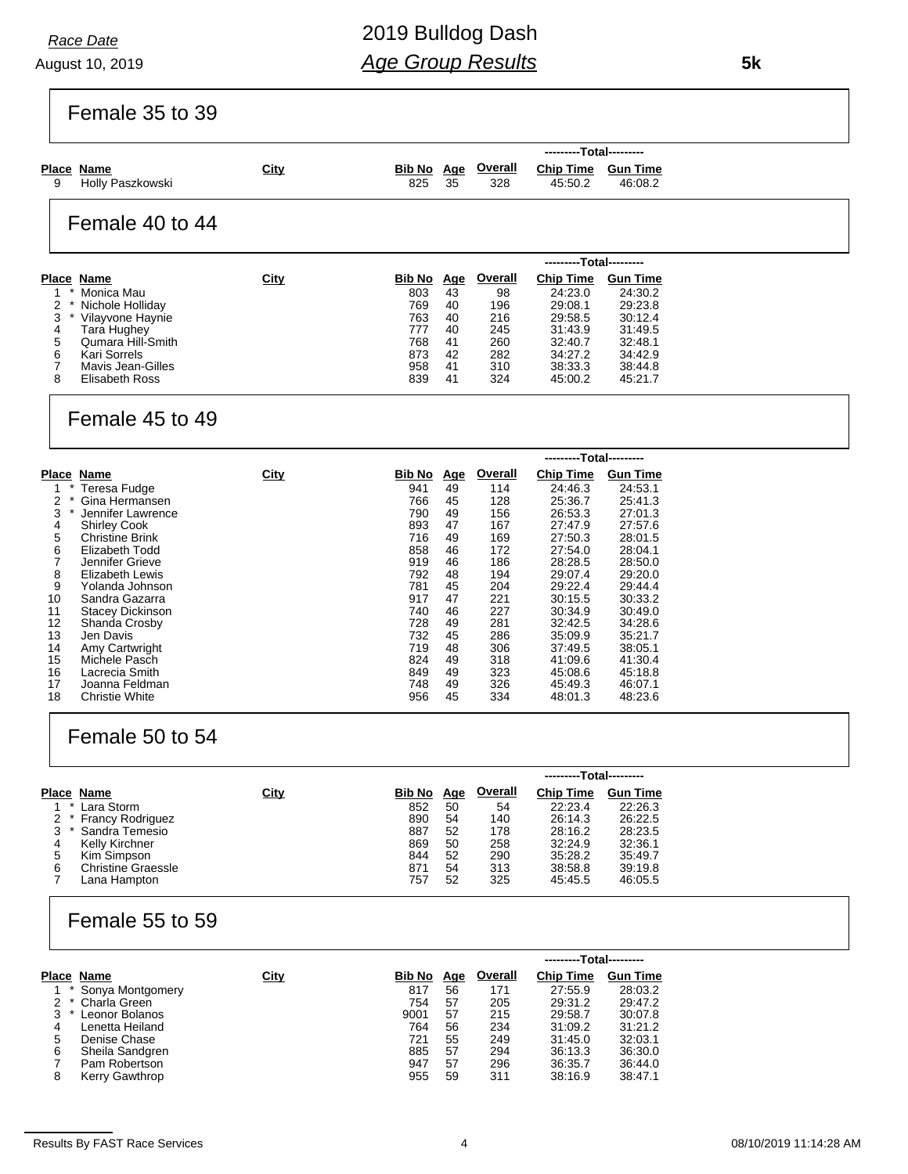August 10, 2019 *Race Date*

Female 35 to 39

|   |                                |             |     |      |                                  | ---------Total---------       |         |  |  |  |
|---|--------------------------------|-------------|-----|------|----------------------------------|-------------------------------|---------|--|--|--|
| 9 | Place Name<br>Holly Paszkowski | <u>City</u> | 825 | - 35 | <u>Bib No Age Overall</u><br>328 | Chip Time Gun Time<br>45:50.2 | 46:08.2 |  |  |  |
|   | Female 40 to 44                |             |     |      |                                  |                               |         |  |  |  |

|   |                   |             |        |            |         | ---------Total--------- |                 |  |
|---|-------------------|-------------|--------|------------|---------|-------------------------|-----------------|--|
|   | Place Name        | <u>City</u> | Bib No | <u>Age</u> | Overall | <b>Chip Time</b>        | <b>Gun Time</b> |  |
|   | Monica Mau        |             | 803    | 43         | 98      | 24:23.0                 | 24:30.2         |  |
|   | Nichole Holliday  |             | 769    | 40         | 196     | 29:08.1                 | 29.23.8         |  |
| 3 | Vilayvone Haynie  |             | 763    | 40         | 216     | 29:58.5                 | 30.12.4         |  |
| 4 | Tara Hughey       |             | 777    | 40         | 245     | 31:43.9                 | 31:49.5         |  |
| 5 | Qumara Hill-Smith |             | 768    | 41         | 260     | 32:40.7                 | 32:48.1         |  |
| 6 | Kari Sorrels      |             | 873    | 42         | 282     | 34:27.2                 | 34:42.9         |  |
|   | Mavis Jean-Gilles |             | 958    | 41         | 310     | 38:33.3                 | 38:44.8         |  |
| 8 | Elisabeth Ross    |             | 839    | 41         | 324     | 45:00.2                 | 45:21.7         |  |

#### Female 45 to 49

|              |                         |      |        |            |                | ---------Total--------- |                 |
|--------------|-------------------------|------|--------|------------|----------------|-------------------------|-----------------|
|              | Place Name              | City | Bib No | <u>Age</u> | <b>Overall</b> | <b>Chip Time</b>        | <b>Gun Time</b> |
|              | Teresa Fudge            |      | 941    | 49         | 114            | 24:46.3                 | 24:53.1         |
| 2            | Gina Hermansen          |      | 766    | 45         | 128            | 25:36.7                 | 25:41.3         |
| 3<br>$\star$ | Jennifer Lawrence       |      | 790    | 49         | 156            | 26:53.3                 | 27:01.3         |
| 4            | <b>Shirley Cook</b>     |      | 893    | 47         | 167            | 27:47.9                 | 27:57.6         |
| 5            | <b>Christine Brink</b>  |      | 716    | 49         | 169            | 27:50.3                 | 28:01.5         |
| 6            | Elizabeth Todd          |      | 858    | 46         | 172            | 27:54.0                 | 28:04.1         |
|              | Jennifer Grieve         |      | 919    | 46         | 186            | 28:28.5                 | 28:50.0         |
| 8            | <b>Elizabeth Lewis</b>  |      | 792    | 48         | 194            | 29:07.4                 | 29:20.0         |
| 9            | Yolanda Johnson         |      | 781    | 45         | 204            | 29:22.4                 | 29:44.4         |
| 10           | Sandra Gazarra          |      | 917    | 47         | 221            | 30:15.5                 | 30:33.2         |
| 11           | <b>Stacey Dickinson</b> |      | 740    | 46         | 227            | 30:34.9                 | 30:49.0         |
| 12           | Shanda Crosby           |      | 728    | 49         | 281            | 32:42.5                 | 34:28.6         |
| 13           | Jen Davis               |      | 732    | 45         | 286            | 35:09.9                 | 35:21.7         |
| 14           | Amy Cartwright          |      | 719    | 48         | 306            | 37:49.5                 | 38:05.1         |
| 15           | Michele Pasch           |      | 824    | 49         | 318            | 41:09.6                 | 41:30.4         |
| 16           | Lacrecia Smith          |      | 849    | 49         | 323            | 45:08.6                 | 45:18.8         |
| 17           | Joanna Feldman          |      | 748    | 49         | 326            | 45:49.3                 | 46:07.1         |
| 18           | <b>Christie White</b>   |      | 956    | 45         | 334            | 48:01.3                 | 48:23.6         |

### Female 50 to 54

|                           |                                                                   |        |            |                | ---------Total--------- |                 |
|---------------------------|-------------------------------------------------------------------|--------|------------|----------------|-------------------------|-----------------|
|                           | <b>City</b>                                                       | Bib No | <u>Age</u> | <b>Overall</b> | <b>Chip Time</b>        | <b>Gun Time</b> |
| Lara Storm                |                                                                   | 852    | 50         | 54             | 22:23.4                 | 22:26.3         |
|                           |                                                                   | 890    | 54         | 140            | 26:14.3                 | 26.22.5         |
|                           |                                                                   | 887    | 52         | 178            | 28:16.2                 | 28.23.5         |
| Kelly Kirchner            |                                                                   | 869    | 50         | 258            | 32:24.9                 | 32:36.1         |
| Kim Simpson               |                                                                   | 844    | 52         | 290            | 35:28.2                 | 35:49.7         |
| <b>Christine Graessle</b> |                                                                   | 871    | 54         | 313            | 38:58.8                 | 39:19.8         |
| Lana Hampton              |                                                                   | 757    | 52         | 325            | 45:45.5                 | 46:05.5         |
|                           | Place Name<br>$\star$<br>2 * Francy Rodriguez<br>* Sandra Temesio |        |            |                |                         |                 |

## Female 55 to 59

|                       |      |        |            |                | ---------Total--------- |                 |  |
|-----------------------|------|--------|------------|----------------|-------------------------|-----------------|--|
| Place Name            | City | Bib No | <u>Age</u> | <b>Overall</b> | <b>Chip Time</b>        | <b>Gun Time</b> |  |
| Sonya Montgomery      |      | 817    | 56         | 171            | 27:55.9                 | 28:03.2         |  |
| Charla Green<br>$2$ * |      | 754    | 57         | 205            | 29:31.2                 | 29:47.2         |  |
| Leonor Bolanos        |      | 9001   | 57         | 215            | 29:58.7                 | 30:07.8         |  |
| Lenetta Heiland       |      | 764    | 56         | 234            | 31:09.2                 | 31:21.2         |  |
| Denise Chase          |      | 721    | 55         | 249            | 31:45.0                 | 32:03.1         |  |
| Sheila Sandgren       |      | 885    | 57         | 294            | 36:13.3                 | 36:30.0         |  |
| Pam Robertson         |      | 947    | 57         | 296            | 36:35.7                 | 36:44.0         |  |
| Kerry Gawthrop        |      | 955    | 59         | 311            | 38:16.9                 | 38:47.1         |  |
|                       |      |        |            |                |                         |                 |  |

 **5k**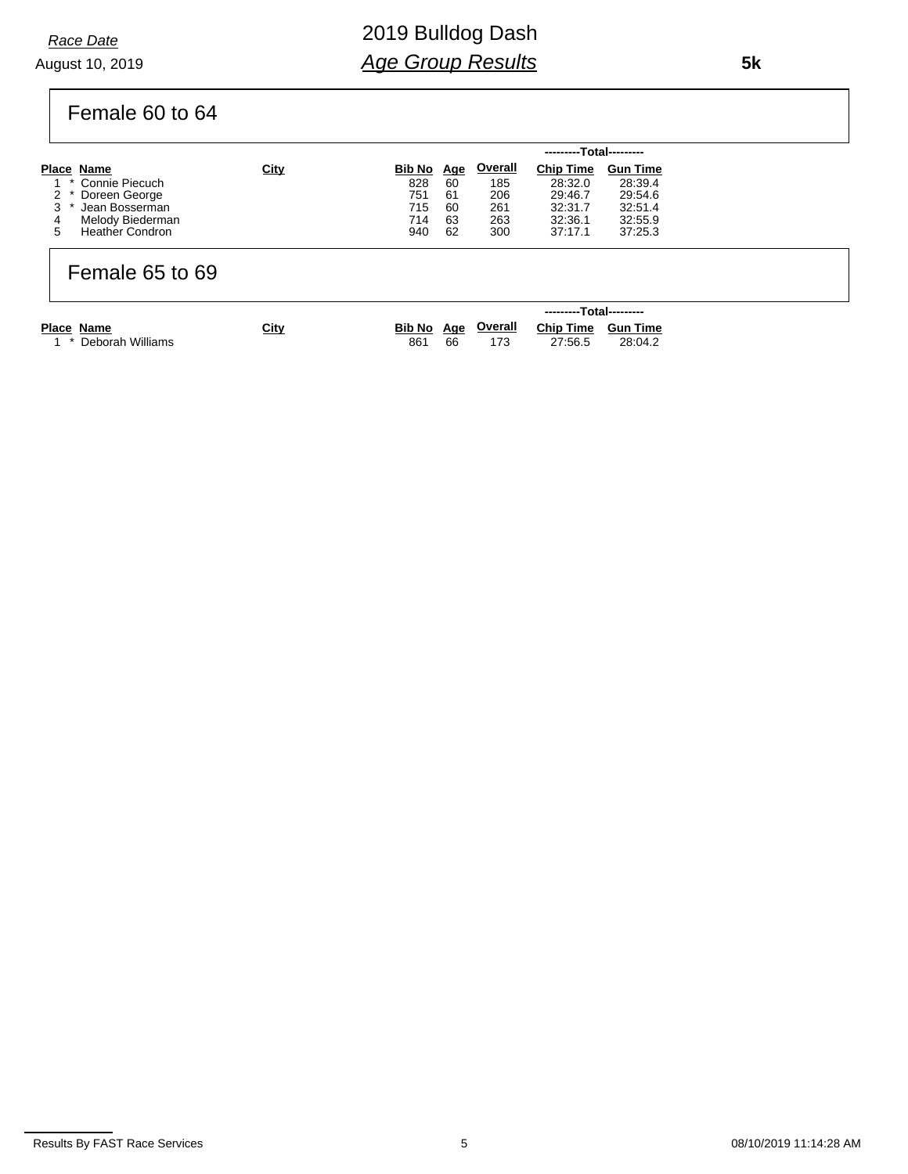August 10, 2019 *Race Date*

# 2019 Bulldog Dash *Age Group Results*

Female 60 to 64

|   |                        |             |            |    |         | ---------Total--------- |                 |  |
|---|------------------------|-------------|------------|----|---------|-------------------------|-----------------|--|
|   | Place Name             | <b>City</b> | Bib No Age |    | Overall | <b>Chip Time</b>        | <b>Gun Time</b> |  |
|   | 1 * Connie Piecuch     |             | 828        | 60 | 185     | 28:32.0                 | 28:39.4         |  |
|   | 2 * Doreen George      |             | 751        | 61 | 206     | 29:46.7                 | 29:54.6         |  |
|   | Jean Bosserman         |             | 715        | 60 | 261     | 32:31.7                 | 32:51.4         |  |
| 4 | Melody Biederman       |             | 714        | 63 | 263     | 32:36.1                 | 32:55.9         |  |
| 5 | <b>Heather Condron</b> |             | 940        | 62 | 300     | 37:17.1                 | 37:25.3         |  |

### Female 65 to 69

|                      |             |     |    |     | ---------Total---------               |         |  |
|----------------------|-------------|-----|----|-----|---------------------------------------|---------|--|
| Place Name           | <b>City</b> |     |    |     | Bib No Age Overall Chip Time Gun Time |         |  |
| 1 * Deborah Williams |             | 861 | 66 | 173 | 27:56.5                               | 28:04.2 |  |

Results By FAST Race Services **6 28 AM** Services 6 08/10/2019 11:14:28 AM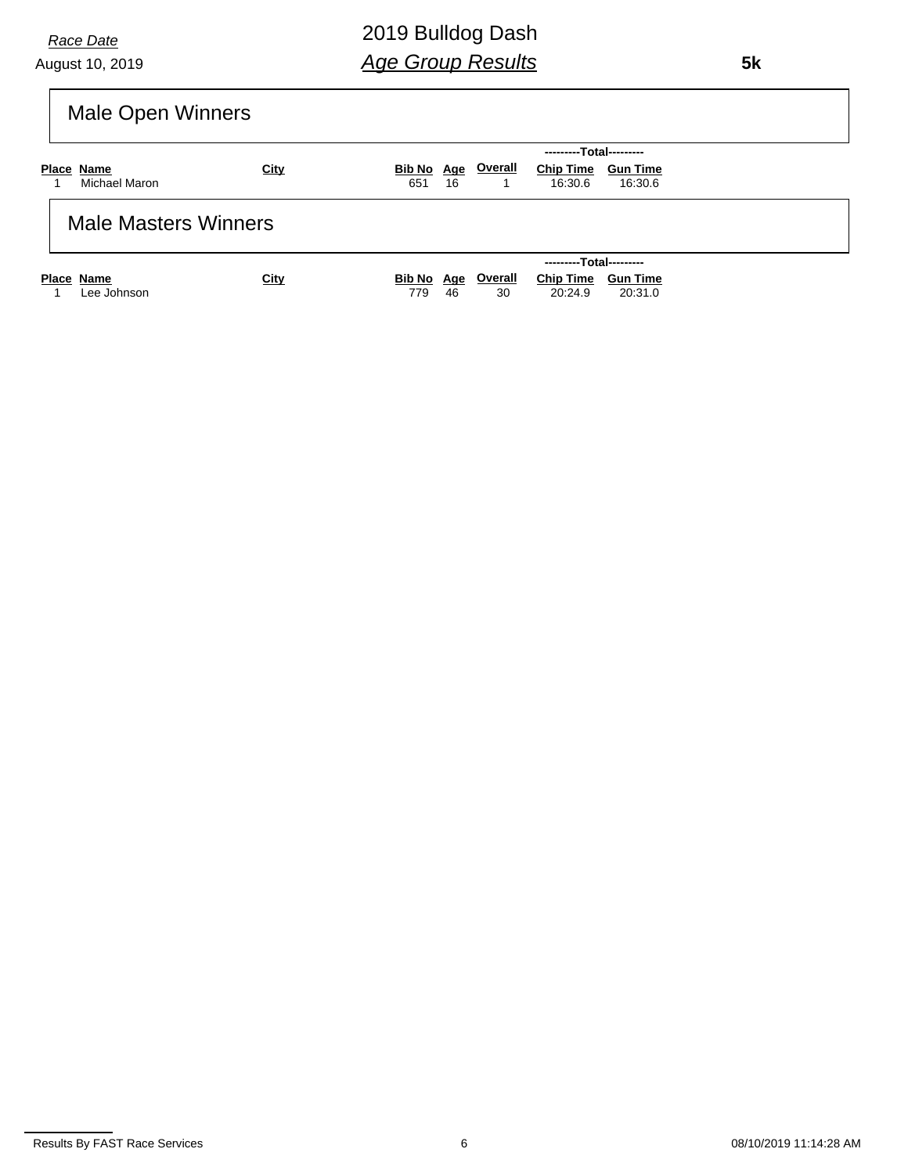August 10, 2019 *Race Date*

 **5k**

# Male Open Winners

|                             |             | ---------Total---------                                             |
|-----------------------------|-------------|---------------------------------------------------------------------|
| Place Name                  | <b>City</b> | <b>Overall</b><br><b>Chip Time</b><br>Bib No Age<br><b>Gun Time</b> |
| Michael Maron               |             | 16:30.6<br>651<br>16<br>16:30.6                                     |
| <b>Male Masters Winners</b> |             |                                                                     |
|                             |             | ---------Total---------                                             |
| Place Name                  | City        | <b>Overall</b><br><b>Chip Time</b><br>Bib No Age<br><b>Gun Time</b> |
| Lee Johnson                 |             | 46<br>30<br>20:24.9<br>20:31.0<br>779                               |

Results By FAST Race Services **6** 08/10/2019 11:14:28 AM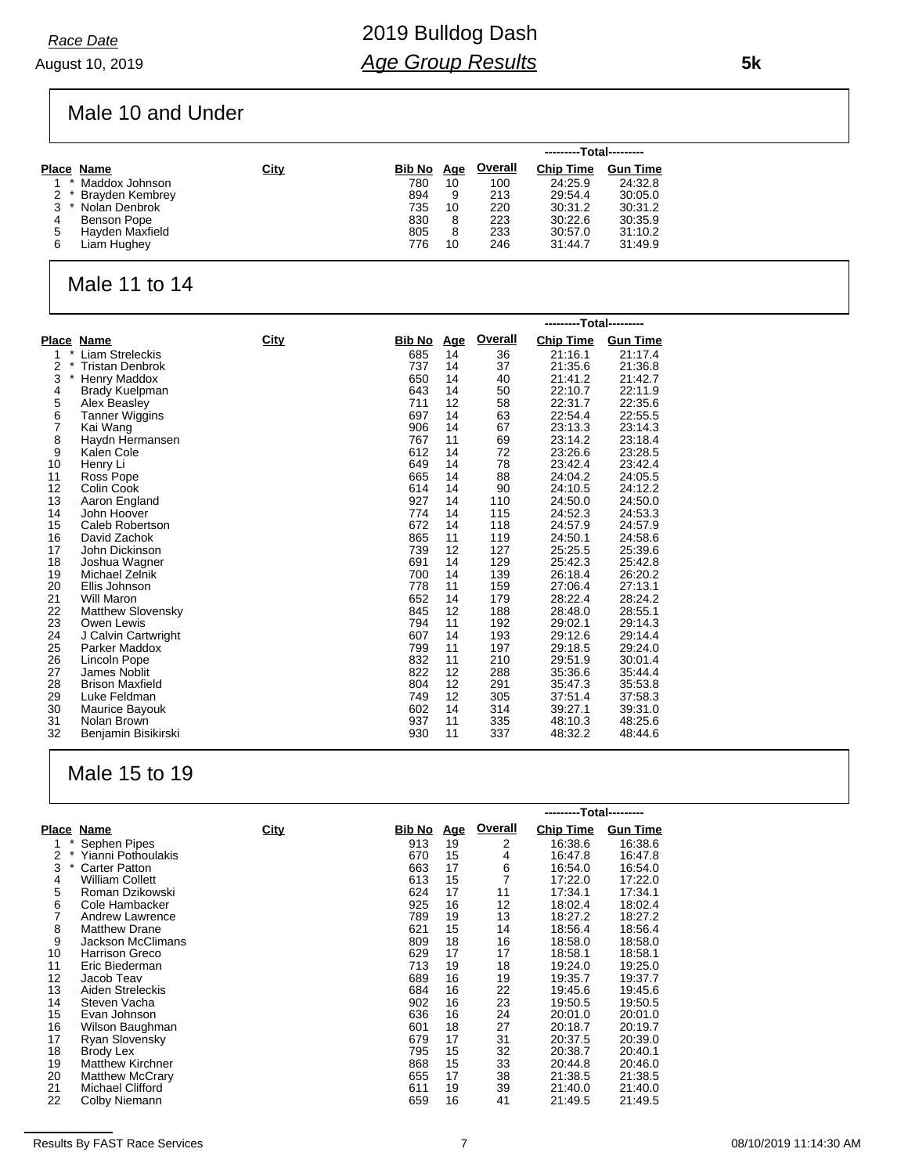August 10, 2019 *Race Date*

Male 10 and Under

|   |                     |      |        |            |                | ---------Total--------- |                 |
|---|---------------------|------|--------|------------|----------------|-------------------------|-----------------|
|   | Place Name          | City | Bib No | <b>Age</b> | <b>Overall</b> | <b>Chip Time</b>        | <b>Gun Time</b> |
|   | Maddox Johnson      |      | 780    | 10         | 100            | 24:25.9                 | 24:32.8         |
|   | 2 * Brayden Kembrey |      | 894    | 9          | 213            | 29:54.4                 | 30:05.0         |
|   | Nolan Denbrok       |      | 735    | 10         | 220            | 30:31.2                 | 30:31.2         |
| 4 | Benson Pope         |      | 830    | 8          | 223            | 30:22.6                 | 30:35.9         |
| 5 | Hayden Maxfield     |      | 805    | 8          | 233            | 30:57.0                 | 31:10.2         |
| 6 | Liam Hughey         |      | 776    | 10         | 246            | 31:44.7                 | 31:49.9         |

#### Male 11 to 14

|        |                          |             |        |            |         | ---------Total--------- |                 |
|--------|--------------------------|-------------|--------|------------|---------|-------------------------|-----------------|
|        | Place Name               | <b>City</b> | Bib No | <u>Age</u> | Overall | <b>Chip Time</b>        | <b>Gun Time</b> |
| *<br>1 | Liam Streleckis          |             | 685    | 14         | 36      | 21:16.1                 | 21:17.4         |
| 2      | <b>Tristan Denbrok</b>   |             | 737    | 14         | 37      | 21:35.6                 | 21:36.8         |
| 3<br>* | Henry Maddox             |             | 650    | 14         | 40      | 21:41.2                 | 21:42.7         |
| 4      | Brady Kuelpman           |             | 643    | 14         | 50      | 22:10.7                 | 22:11.9         |
| 5      | Alex Beasley             |             | 711    | 12         | 58      | 22:31.7                 | 22:35.6         |
| 6      | <b>Tanner Wiggins</b>    |             | 697    | 14         | 63      | 22:54.4                 | 22:55.5         |
| 7      | Kai Wang                 |             | 906    | 14         | 67      | 23:13.3                 | 23:14.3         |
| 8      | Haydn Hermansen          |             | 767    | 11         | 69      | 23:14.2                 | 23:18.4         |
| 9      | Kalen Cole               |             | 612    | 14         | 72      | 23:26.6                 | 23:28.5         |
| 10     | Henry Li                 |             | 649    | 14         | 78      | 23:42.4                 | 23:42.4         |
| 11     | Ross Pope                |             | 665    | 14         | 88      | 24:04.2                 | 24:05.5         |
| 12     | Colin Cook               |             | 614    | 14         | 90      | 24:10.5                 | 24:12.2         |
| 13     | Aaron England            |             | 927    | 14         | 110     | 24:50.0                 | 24:50.0         |
| 14     | John Hoover              |             | 774    | 14         | 115     | 24:52.3                 | 24:53.3         |
| 15     | Caleb Robertson          |             | 672    | 14         | 118     | 24:57.9                 | 24:57.9         |
| 16     | David Zachok             |             | 865    | 11         | 119     | 24:50.1                 | 24:58.6         |
| 17     | John Dickinson           |             | 739    | 12         | 127     | 25:25.5                 | 25:39.6         |
| 18     | Joshua Wagner            |             | 691    | 14         | 129     | 25:42.3                 | 25:42.8         |
| 19     | Michael Zelnik           |             | 700    | 14         | 139     | 26:18.4                 | 26:20.2         |
| 20     | Ellis Johnson            |             | 778    | 11         | 159     | 27:06.4                 | 27:13.1         |
| 21     | Will Maron               |             | 652    | 14         | 179     | 28:22.4                 | 28:24.2         |
| 22     | <b>Matthew Slovensky</b> |             | 845    | 12         | 188     | 28:48.0                 | 28:55.1         |
| 23     | Owen Lewis               |             | 794    | 11         | 192     | 29:02.1                 | 29:14.3         |
| 24     | J Calvin Cartwright      |             | 607    | 14         | 193     | 29:12.6                 | 29:14.4         |
| 25     | Parker Maddox            |             | 799    | 11         | 197     | 29:18.5                 | 29:24.0         |
| 26     | Lincoln Pope             |             | 832    | 11         | 210     | 29:51.9                 | 30:01.4         |
| 27     | James Noblit             |             | 822    | 12         | 288     | 35:36.6                 | 35:44.4         |
| 28     | <b>Brison Maxfield</b>   |             | 804    | 12         | 291     | 35:47.3                 | 35:53.8         |
| 29     | Luke Feldman             |             | 749    | 12         | 305     | 37:51.4                 | 37:58.3         |
| 30     | Maurice Bayouk           |             | 602    | 14         | 314     | 39:27.1                 | 39:31.0         |
| 31     | Nolan Brown              |             | 937    | 11         | 335     | 48:10.3                 | 48:25.6         |
| 32     | Benjamin Bisikirski      |             | 930    | 11         | 337     | 48:32.2                 | 48:44.6         |

## Male 15 to 19

|                 |                          |      | ---------Total--------- |            |                |                  |                 |
|-----------------|--------------------------|------|-------------------------|------------|----------------|------------------|-----------------|
|                 | Place Name               | City | Bib No                  | <u>Age</u> | <b>Overall</b> | <b>Chip Time</b> | <b>Gun Time</b> |
|                 | Sephen Pipes             |      | 913                     | 19         | 2              | 16:38.6          | 16:38.6         |
| $^{\star}$<br>2 | Yianni Pothoulakis       |      | 670                     | 15         | 4              | 16:47.8          | 16:47.8         |
| 3<br>$^\star$   | <b>Carter Patton</b>     |      | 663                     | 17         | 6              | 16:54.0          | 16:54.0         |
| 4               | William Collett          |      | 613                     | 15         | 7              | 17:22.0          | 17:22.0         |
| 5               | Roman Dzikowski          |      | 624                     | 17         | 11             | 17:34.1          | 17:34.1         |
| 6               | Cole Hambacker           |      | 925                     | 16         | 12             | 18:02.4          | 18:02.4         |
|                 | Andrew Lawrence          |      | 789                     | 19         | 13             | 18:27.2          | 18:27.2         |
| 8               | <b>Matthew Drane</b>     |      | 621                     | 15         | 14             | 18:56.4          | 18:56.4         |
| 9               | <b>Jackson McClimans</b> |      | 809                     | 18         | 16             | 18:58.0          | 18:58.0         |
| 10              | Harrison Greco           |      | 629                     | 17         | 17             | 18:58.1          | 18:58.1         |
| 11              | Eric Biederman           |      | 713                     | 19         | 18             | 19:24.0          | 19:25.0         |
| 12              | Jacob Teav               |      | 689                     | 16         | 19             | 19:35.7          | 19:37.7         |
| 13              | Aiden Streleckis         |      | 684                     | 16         | 22             | 19:45.6          | 19:45.6         |
| 14              | Steven Vacha             |      | 902                     | 16         | 23             | 19:50.5          | 19:50.5         |
| 15              | Evan Johnson             |      | 636                     | 16         | 24             | 20:01.0          | 20:01.0         |
| 16              | Wilson Baughman          |      | 601                     | 18         | 27             | 20:18.7          | 20:19.7         |
| 17              | Ryan Slovensky           |      | 679                     | 17         | 31             | 20:37.5          | 20:39.0         |
| 18              | Brody Lex                |      | 795                     | 15         | 32             | 20:38.7          | 20:40.1         |
| 19              | <b>Matthew Kirchner</b>  |      | 868                     | 15         | 33             | 20:44.8          | 20:46.0         |
| 20              | <b>Matthew McCrary</b>   |      | 655                     | 17         | 38             | 21:38.5          | 21:38.5         |
| 21              | Michael Clifford         |      | 611                     | 19         | 39             | 21:40.0          | 21:40.0         |
| 22              | Colby Niemann            |      | 659                     | 16         | 41             | 21:49.5          | 21:49.5         |

 **5k**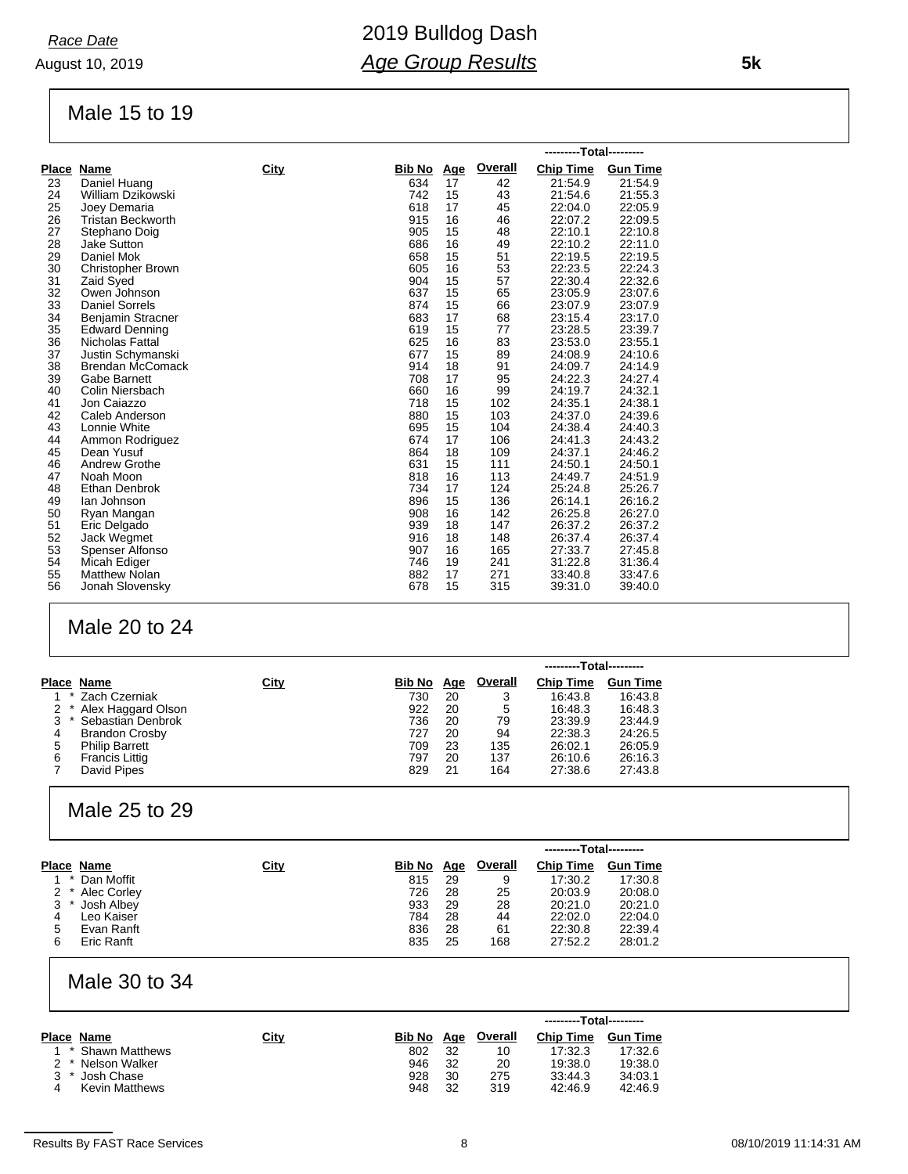August 10, 2019 *Race Date*

#### Male 15 to 19

|    |                          |      |               |            |         | ---------Total--------- |                 |  |
|----|--------------------------|------|---------------|------------|---------|-------------------------|-----------------|--|
|    | Place Name               | City | <b>Bib No</b> | <u>Age</u> | Overall | <b>Chip Time</b>        | <b>Gun Time</b> |  |
| 23 | Daniel Huang             |      | 634           | 17         | 42      | 21:54.9                 | 21:54.9         |  |
| 24 | William Dzikowski        |      | 742           | 15         | 43      | 21:54.6                 | 21:55.3         |  |
| 25 | Joey Demaria             |      | 618           | 17         | 45      | 22:04.0                 | 22:05.9         |  |
| 26 | <b>Tristan Beckworth</b> |      | 915           | 16         | 46      | 22:07.2                 | 22:09.5         |  |
| 27 | Stephano Doig            |      | 905           | 15         | 48      | 22:10.1                 | 22:10.8         |  |
| 28 | <b>Jake Sutton</b>       |      | 686           | 16         | 49      | 22:10.2                 | 22:11.0         |  |
| 29 | Daniel Mok               |      | 658           | 15         | 51      | 22:19.5                 | 22:19.5         |  |
| 30 | Christopher Brown        |      | 605           | 16         | 53      | 22:23.5                 | 22:24.3         |  |
| 31 | Zaid Syed                |      | 904           | 15         | 57      | 22:30.4                 | 22:32.6         |  |
| 32 | Owen Johnson             |      | 637           | 15         | 65      | 23:05.9                 | 23:07.6         |  |
| 33 | <b>Daniel Sorrels</b>    |      | 874           | 15         | 66      | 23:07.9                 | 23:07.9         |  |
| 34 | Benjamin Stracner        |      | 683           | 17         | 68      | 23:15.4                 | 23:17.0         |  |
| 35 | <b>Edward Denning</b>    |      | 619           | 15         | 77      | 23:28.5                 | 23:39.7         |  |
| 36 | Nicholas Fattal          |      | 625           | 16         | 83      | 23:53.0                 | 23:55.1         |  |
| 37 | Justin Schymanski        |      | 677           | 15         | 89      | 24:08.9                 | 24:10.6         |  |
| 38 | <b>Brendan McComack</b>  |      | 914           | 18         | 91      | 24:09.7                 | 24:14.9         |  |
| 39 | Gabe Barnett             |      | 708           | 17         | 95      | 24:22.3                 | 24:27.4         |  |
| 40 | Colin Niersbach          |      | 660           | 16         | 99      | 24:19.7                 | 24:32.1         |  |
| 41 | Jon Caiazzo              |      | 718           | 15         | 102     | 24:35.1                 | 24:38.1         |  |
| 42 | Caleb Anderson           |      | 880           | 15         | 103     | 24:37.0                 | 24:39.6         |  |
| 43 | Lonnie White             |      | 695           | 15         | 104     | 24:38.4                 | 24:40.3         |  |
| 44 | Ammon Rodriguez          |      | 674           | 17         | 106     | 24:41.3                 | 24:43.2         |  |
| 45 | Dean Yusuf               |      | 864           | 18         | 109     | 24:37.1                 | 24:46.2         |  |
| 46 | <b>Andrew Grothe</b>     |      | 631           | 15         | 111     | 24:50.1                 | 24:50.1         |  |
| 47 | Noah Moon                |      | 818           | 16         | 113     | 24:49.7                 | 24:51.9         |  |
| 48 | <b>Ethan Denbrok</b>     |      | 734           | 17         | 124     | 25:24.8                 | 25:26.7         |  |
| 49 | lan Johnson              |      | 896           | 15         | 136     | 26:14.1                 | 26:16.2         |  |
| 50 | Ryan Mangan              |      | 908           | 16         | 142     | 26:25.8                 | 26:27.0         |  |
| 51 | Eric Delgado             |      | 939           | 18         | 147     | 26:37.2                 | 26:37.2         |  |
| 52 | Jack Wegmet              |      | 916           | 18         | 148     | 26:37.4                 | 26:37.4         |  |
| 53 | Spenser Alfonso          |      | 907           | 16         | 165     | 27:33.7                 | 27:45.8         |  |
| 54 | Micah Ediger             |      | 746           | 19         | 241     | 31:22.8                 | 31:36.4         |  |
| 55 | <b>Matthew Nolan</b>     |      | 882           | 17         | 271     | 33:40.8                 | 33:47.6         |  |
| 56 | Jonah Slovensky          |      | 678           | 15         | 315     | 39:31.0                 | 39:40.0         |  |

### Male 20 to 24

|   |                          |      |        |            |                | ---------Total--------- |                 |  |
|---|--------------------------|------|--------|------------|----------------|-------------------------|-----------------|--|
|   | Place Name               | City | Bib No | <u>Age</u> | <b>Overall</b> | <b>Chip Time</b>        | <b>Gun Time</b> |  |
|   | Zach Czerniak<br>$\star$ |      | 730    | 20         | 3              | 16:43.8                 | 16:43.8         |  |
|   | Alex Haggard Olson       |      | 922    | 20         | 5              | 16:48.3                 | 16:48.3         |  |
| 3 | Sebastian Denbrok        |      | 736    | 20         | 79             | 23:39.9                 | 23:44.9         |  |
| 4 | <b>Brandon Crosby</b>    |      | 727    | 20         | 94             | 22:38.3                 | 24:26.5         |  |
| 5 | <b>Philip Barrett</b>    |      | 709    | 23         | 135            | 26:02.1                 | 26:05.9         |  |
| 6 | <b>Francis Littig</b>    |      | 797    | 20         | 137            | 26:10.6                 | 26.16.3         |  |
|   | David Pipes              |      | 829    | 21         | 164            | 27:38.6                 | 27:43.8         |  |

### Male 25 to 29

|         |             |      |        |            |                | ---------Total--------- |                 |  |
|---------|-------------|------|--------|------------|----------------|-------------------------|-----------------|--|
|         | Place Name  | City | Bib No | <u>Age</u> | <b>Overall</b> | <b>Chip Time</b>        | <b>Gun Time</b> |  |
|         | Dan Moffit  |      | 815    | 29         | 9              | 17:30.2                 | 17:30.8         |  |
| $2^*$   | Alec Corley |      | 726    | 28         | 25             | 20:03.9                 | 20:08.0         |  |
| $3$ $*$ | Josh Albey  |      | 933    | 29         | 28             | 20:21.0                 | 20:21.0         |  |
| 4       | Leo Kaiser  |      | 784    | 28         | 44             | 22:02.0                 | 22:04.0         |  |
| 5       | Evan Ranft  |      | 836    | 28         | 61             | 22:30.8                 | 22:39.4         |  |
| 6       | Eric Ranft  |      | 835    | 25         | 168            | 27:52.2                 | 28:01.2         |  |

### Male 30 to 34

|         |                       |             |            |    |         | ---------Total--------- |                 |
|---------|-----------------------|-------------|------------|----|---------|-------------------------|-----------------|
|         | Place Name            | <u>City</u> | Bib No Age |    | Overall | <b>Chip Time</b>        | <b>Gun Time</b> |
|         | * Shawn Matthews      |             | 802        | 32 | 10      | 17:32.3                 | 17:32.6         |
|         | 2 * Nelson Walker     |             | 946        | 32 | 20      | 19:38.0                 | 19:38.0         |
| $\star$ | Josh Chase            |             | 928        | 30 | 275     | 33:44.3                 | 34:03.1         |
|         | <b>Kevin Matthews</b> |             | 948        | 32 | 319     | 42:46.9                 | 42:46.9         |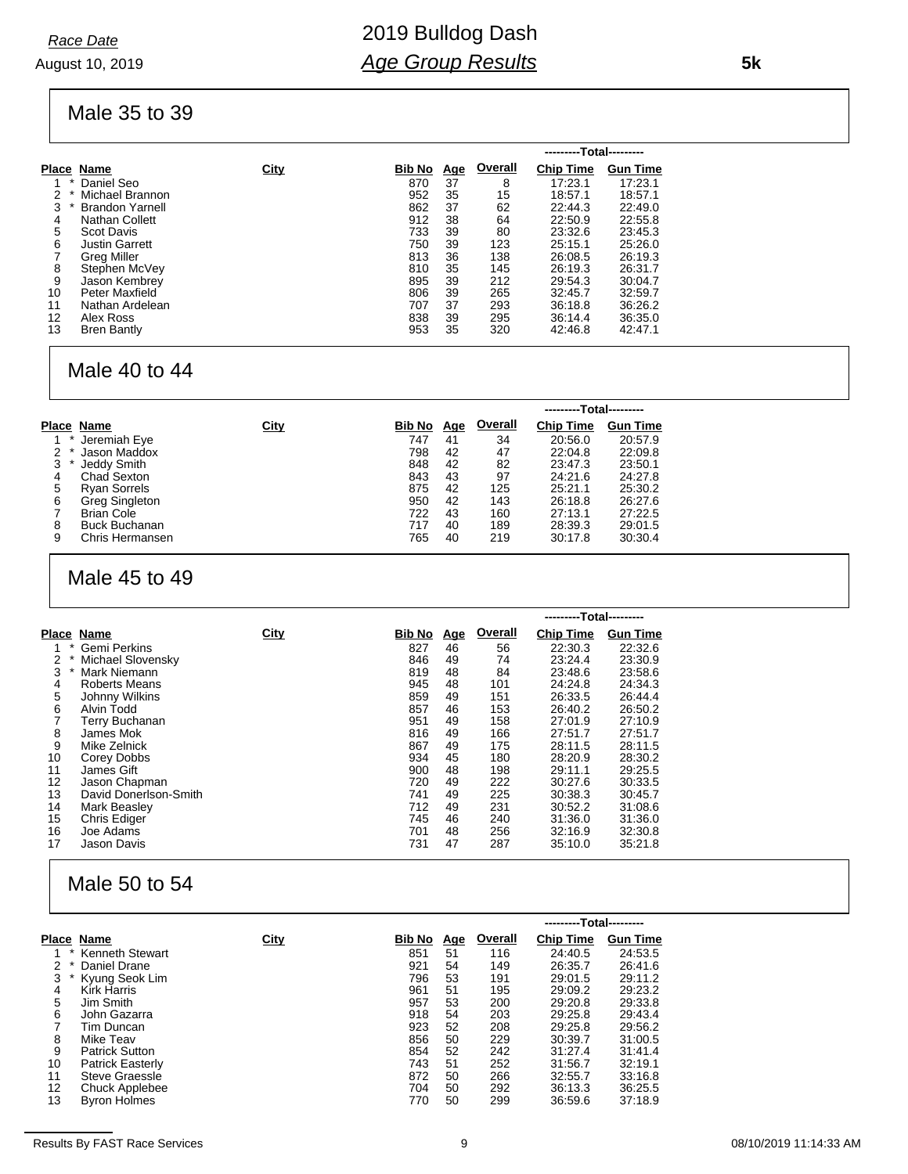August 10, 2019 *Race Date*

Male 35 to 39

|             |                        |      |        |            |         | ---------Total--------- |                 |
|-------------|------------------------|------|--------|------------|---------|-------------------------|-----------------|
|             | Place Name             | City | Bib No | <u>Age</u> | Overall | <b>Chip Time</b>        | <b>Gun Time</b> |
|             | Daniel Seo             |      | 870    | 37         | 8       | 17:23.1                 | 17:23.1         |
| $\ast$<br>2 | Michael Brannon        |      | 952    | 35         | 15      | 18:57.1                 | 18:57.1         |
| 3           | <b>Brandon Yarnell</b> |      | 862    | 37         | 62      | 22:44.3                 | 22:49.0         |
| 4           | Nathan Collett         |      | 912    | 38         | 64      | 22:50.9                 | 22:55.8         |
| 5           | <b>Scot Davis</b>      |      | 733    | 39         | 80      | 23:32.6                 | 23:45.3         |
| 6           | <b>Justin Garrett</b>  |      | 750    | 39         | 123     | 25:15.1                 | 25:26.0         |
|             | Greg Miller            |      | 813    | 36         | 138     | 26:08.5                 | 26:19.3         |
| 8           | Stephen McVey          |      | 810    | 35         | 145     | 26:19.3                 | 26:31.7         |
| 9           | Jason Kembrey          |      | 895    | 39         | 212     | 29:54.3                 | 30:04.7         |
| 10          | Peter Maxfield         |      | 806    | 39         | 265     | 32:45.7                 | 32:59.7         |
| 11          | Nathan Ardelean        |      | 707    | 37         | 293     | 36:18.8                 | 36:26.2         |
| 12          | Alex Ross              |      | 838    | 39         | 295     | 36:14.4                 | 36:35.0         |
| 13          | <b>Bren Bantly</b>     |      | 953    | 35         | 320     | 42:46.8                 | 42:47.1         |

#### Male 40 to 44

|   |                      |      |        |            |         | ---------Total--------- |                 |
|---|----------------------|------|--------|------------|---------|-------------------------|-----------------|
|   | Place Name           | City | Bib No | <u>Age</u> | Overall | <b>Chip Time</b>        | <b>Gun Time</b> |
|   | Jeremiah Eye         |      | 747    | 41         | 34      | 20:56.0                 | 20:57.9         |
| 2 | Jason Maddox         |      | 798    | 42         | 47      | 22:04.8                 | 22:09.8         |
| 3 | Jeddy Smith          |      | 848    | 42         | 82      | 23:47.3                 | 23:50.1         |
| 4 | Chad Sexton          |      | 843    | 43         | 97      | 24:21.6                 | 24:27.8         |
| 5 | <b>Ryan Sorrels</b>  |      | 875    | 42         | 125     | 25:21.1                 | 25:30.2         |
| 6 | Greg Singleton       |      | 950    | 42         | 143     | 26:18.8                 | 26:27.6         |
|   | <b>Brian Cole</b>    |      | 722    | 43         | 160     | 27:13.1                 | 27:22.5         |
| 8 | <b>Buck Buchanan</b> |      | 717    | 40         | 189     | 28:39.3                 | 29:01.5         |
| 9 | Chris Hermansen      |      | 765    | 40         | 219     | 30:17.8                 | 30:30.4         |

### Male 45 to 49

|    |                       |      |               |            |         | ---------Total--------- |                 |
|----|-----------------------|------|---------------|------------|---------|-------------------------|-----------------|
|    | Place Name            | City | <b>Bib No</b> | <u>Age</u> | Overall | <b>Chip Time</b>        | <b>Gun Time</b> |
| *  | <b>Gemi Perkins</b>   |      | 827           | 46         | 56      | 22:30.3                 | 22:32.6         |
| 2  | Michael Slovensky     |      | 846           | 49         | 74      | 23:24.4                 | 23:30.9         |
| 3  | Mark Niemann          |      | 819           | 48         | 84      | 23:48.6                 | 23:58.6         |
| 4  | <b>Roberts Means</b>  |      | 945           | 48         | 101     | 24:24.8                 | 24:34.3         |
| 5  | Johnny Wilkins        |      | 859           | 49         | 151     | 26:33.5                 | 26:44.4         |
| 6  | Alvin Todd            |      | 857           | 46         | 153     | 26:40.2                 | 26:50.2         |
|    | <b>Terry Buchanan</b> |      | 951           | 49         | 158     | 27:01.9                 | 27:10.9         |
| 8  | James Mok             |      | 816           | 49         | 166     | 27:51.7                 | 27:51.7         |
| 9  | Mike Zelnick          |      | 867           | 49         | 175     | 28:11.5                 | 28:11.5         |
| 10 | Corey Dobbs           |      | 934           | 45         | 180     | 28:20.9                 | 28:30.2         |
| 11 | James Gift            |      | 900           | 48         | 198     | 29:11.1                 | 29:25.5         |
| 12 | Jason Chapman         |      | 720           | 49         | 222     | 30:27.6                 | 30:33.5         |
| 13 | David Donerlson-Smith |      | 741           | 49         | 225     | 30:38.3                 | 30:45.7         |
| 14 | Mark Beasley          |      | 712           | 49         | 231     | 30:52.2                 | 31:08.6         |
| 15 | <b>Chris Ediger</b>   |      | 745           | 46         | 240     | 31:36.0                 | 31:36.0         |
| 16 | Joe Adams             |      | 701           | 48         | 256     | 32:16.9                 | 32:30.8         |
| 17 | <b>Jason Davis</b>    |      | 731           | 47         | 287     | 35:10.0                 | 35:21.8         |

## Male 50 to 54

|            |                         |      |        |            |                | ---------Total--------- |                 |
|------------|-------------------------|------|--------|------------|----------------|-------------------------|-----------------|
| Place Name |                         | City | Bib No | <u>Age</u> | <b>Overall</b> | <b>Chip Time</b>        | <b>Gun Time</b> |
|            | <b>Kenneth Stewart</b>  |      | 851    | 51         | 116            | 24:40.5                 | 24:53.5         |
| 2          | Daniel Drane            |      | 921    | 54         | 149            | 26:35.7                 | 26:41.6         |
| 3          | Kyung Seok Lim          |      | 796    | 53         | 191            | 29:01.5                 | 29:11.2         |
| 4          | <b>Kirk Harris</b>      |      | 961    | 51         | 195            | 29:09.2                 | 29:23.2         |
| 5          | Jim Smith               |      | 957    | 53         | 200            | 29:20.8                 | 29:33.8         |
| 6          | John Gazarra            |      | 918    | 54         | 203            | 29:25.8                 | 29:43.4         |
|            | Tim Duncan              |      | 923    | 52         | 208            | 29:25.8                 | 29:56.2         |
| 8          | Mike Teav               |      | 856    | 50         | 229            | 30:39.7                 | 31:00.5         |
| 9          | <b>Patrick Sutton</b>   |      | 854    | 52         | 242            | 31:27.4                 | 31:41.4         |
| 10         | <b>Patrick Easterly</b> |      | 743    | 51         | 252            | 31:56.7                 | 32:19.1         |
| 11         | Steve Graessle          |      | 872    | 50         | 266            | 32:55.7                 | 33:16.8         |
| 12         | Chuck Applebee          |      | 704    | 50         | 292            | 36:13.3                 | 36:25.5         |
| 13         | <b>Byron Holmes</b>     |      | 770    | 50         | 299            | 36:59.6                 | 37:18.9         |